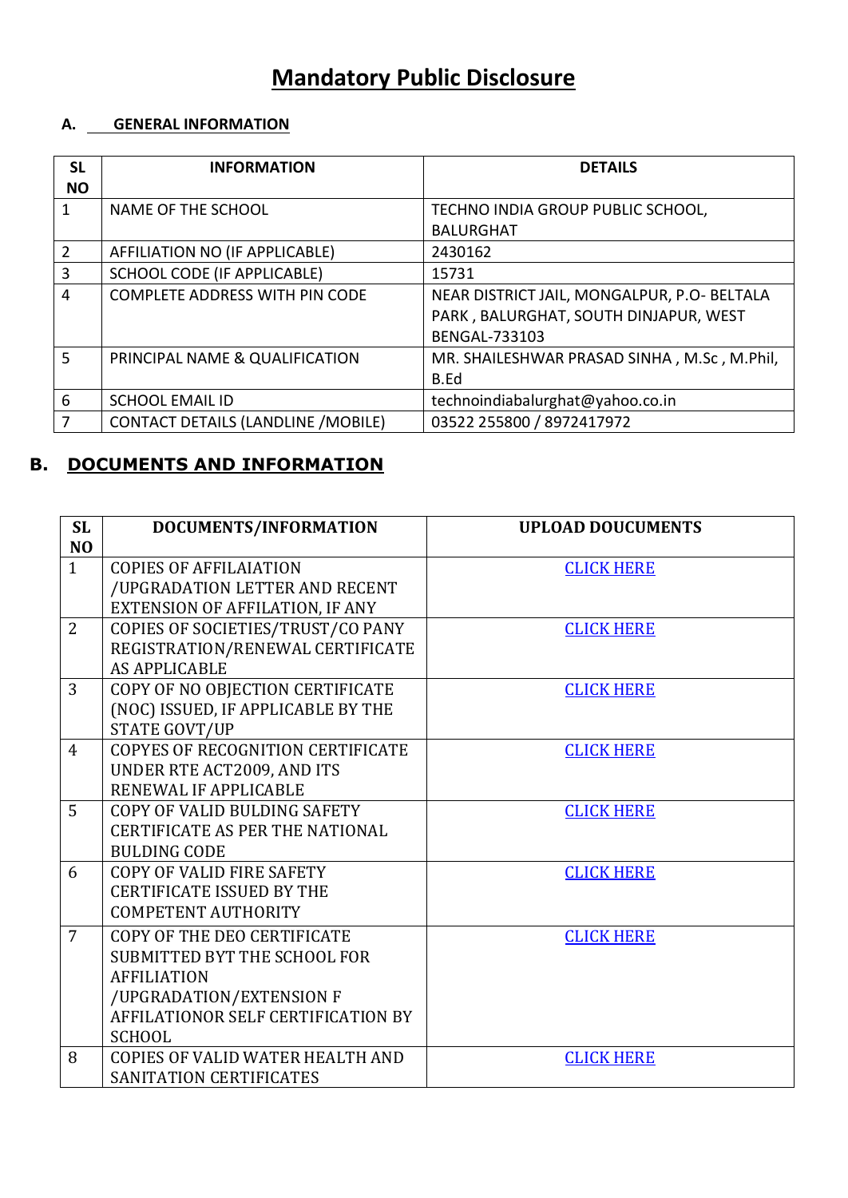# **Mandatory Public Disclosure**

### **A. GENERAL INFORMATION**

| <b>SL</b><br><b>NO</b> | <b>INFORMATION</b>                        | <b>DETAILS</b>                                                                                               |
|------------------------|-------------------------------------------|--------------------------------------------------------------------------------------------------------------|
|                        | <b>NAME OF THE SCHOOL</b>                 | TECHNO INDIA GROUP PUBLIC SCHOOL,<br><b>BALURGHAT</b>                                                        |
| $\mathcal{P}$          | AFFILIATION NO (IF APPLICABLE)            | 2430162                                                                                                      |
| 3                      | <b>SCHOOL CODE (IF APPLICABLE)</b>        | 15731                                                                                                        |
| 4                      | <b>COMPLETE ADDRESS WITH PIN CODE</b>     | NEAR DISTRICT JAIL, MONGALPUR, P.O- BELTALA<br>PARK, BALURGHAT, SOUTH DINJAPUR, WEST<br><b>BENGAL-733103</b> |
| 5                      | PRINCIPAL NAME & QUALIFICATION            | MR. SHAILESHWAR PRASAD SINHA, M.Sc, M.Phil,<br>B.Ed                                                          |
| 6                      | <b>SCHOOL EMAIL ID</b>                    | technoindiabalurghat@yahoo.co.in                                                                             |
|                        | <b>CONTACT DETAILS (LANDLINE /MOBILE)</b> | 03522 255800 / 8972417972                                                                                    |

## **B. DOCUMENTS AND INFORMATION**

| <b>SL</b>      | DOCUMENTS/INFORMATION                  | <b>UPLOAD DOUCUMENTS</b> |
|----------------|----------------------------------------|--------------------------|
| N <sub>O</sub> |                                        |                          |
| $\mathbf{1}$   | <b>COPIES OF AFFILAIATION</b>          | <b>CLICK HERE</b>        |
|                | /UPGRADATION LETTER AND RECENT         |                          |
|                | <b>EXTENSION OF AFFILATION, IF ANY</b> |                          |
| $\overline{2}$ | COPIES OF SOCIETIES/TRUST/CO PANY      | <b>CLICK HERE</b>        |
|                | REGISTRATION/RENEWAL CERTIFICATE       |                          |
|                | <b>AS APPLICABLE</b>                   |                          |
| $\overline{3}$ | COPY OF NO OBJECTION CERTIFICATE       | <b>CLICK HERE</b>        |
|                | (NOC) ISSUED, IF APPLICABLE BY THE     |                          |
|                | <b>STATE GOVT/UP</b>                   |                          |
| $\overline{4}$ | COPYES OF RECOGNITION CERTIFICATE      | <b>CLICK HERE</b>        |
|                | UNDER RTE ACT2009, AND ITS             |                          |
|                | RENEWAL IF APPLICABLE                  |                          |
| 5              | COPY OF VALID BULDING SAFETY           | <b>CLICK HERE</b>        |
|                | <b>CERTIFICATE AS PER THE NATIONAL</b> |                          |
|                | <b>BULDING CODE</b>                    |                          |
| 6              | <b>COPY OF VALID FIRE SAFETY</b>       | <b>CLICK HERE</b>        |
|                | <b>CERTIFICATE ISSUED BY THE</b>       |                          |
|                | <b>COMPETENT AUTHORITY</b>             |                          |
| $\overline{7}$ | COPY OF THE DEO CERTIFICATE            | <b>CLICK HERE</b>        |
|                | SUBMITTED BYT THE SCHOOL FOR           |                          |
|                | <b>AFFILIATION</b>                     |                          |
|                | /UPGRADATION/EXTENSION F               |                          |
|                | AFFILATIONOR SELF CERTIFICATION BY     |                          |
|                | <b>SCHOOL</b>                          |                          |
| 8              | COPIES OF VALID WATER HEALTH AND       | <b>CLICK HERE</b>        |
|                | SANITATION CERTIFICATES                |                          |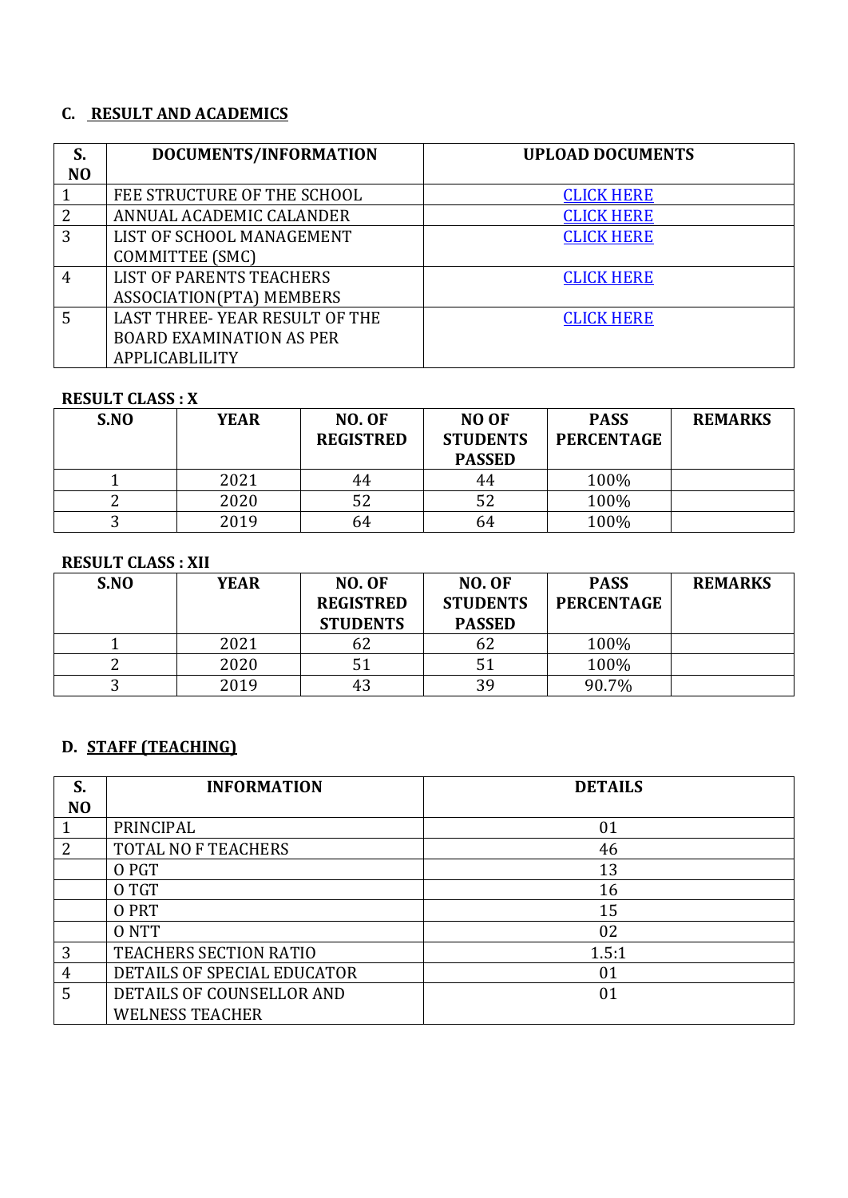### **C. RESULT AND ACADEMICS**

| S.             | DOCUMENTS/INFORMATION           | <b>UPLOAD DOCUMENTS</b> |
|----------------|---------------------------------|-------------------------|
| N <sub>O</sub> |                                 |                         |
|                | FEE STRUCTURE OF THE SCHOOL     | <b>CLICK HERE</b>       |
| 2              | ANNUAL ACADEMIC CALANDER        | <b>CLICK HERE</b>       |
| 3              | LIST OF SCHOOL MANAGEMENT       | <b>CLICK HERE</b>       |
|                | <b>COMMITTEE (SMC)</b>          |                         |
| $\overline{4}$ | <b>LIST OF PARENTS TEACHERS</b> | <b>CLICK HERE</b>       |
|                | ASSOCIATION(PTA) MEMBERS        |                         |
| 5              | LAST THREE-YEAR RESULT OF THE   | <b>CLICK HERE</b>       |
|                | <b>BOARD EXAMINATION AS PER</b> |                         |
|                | APPLICABLILITY                  |                         |

#### **RESULT CLASS : X**

| S.NO | <b>YEAR</b> | <b>NO. OF</b><br><b>REGISTRED</b> | <b>NO OF</b><br><b>STUDENTS</b><br><b>PASSED</b> | <b>PASS</b><br><b>PERCENTAGE</b> | <b>REMARKS</b> |
|------|-------------|-----------------------------------|--------------------------------------------------|----------------------------------|----------------|
|      | 2021        | 44                                | 44                                               | 100%                             |                |
|      | 2020        | 52                                | 52                                               | 100%                             |                |
|      | 2019        | 64                                | 64                                               | 100%                             |                |

### **RESULT CLASS : XII**

| S.NO | <b>YEAR</b> | <b>NO. OF</b><br><b>REGISTRED</b><br><b>STUDENTS</b> | NO. OF<br><b>STUDENTS</b><br><b>PASSED</b> | <b>PASS</b><br><b>PERCENTAGE</b> | <b>REMARKS</b> |
|------|-------------|------------------------------------------------------|--------------------------------------------|----------------------------------|----------------|
|      | 2021        | σZ                                                   | 62                                         | 100%                             |                |
|      | 2020        |                                                      |                                            | 100%                             |                |
|      | 2019        | 43                                                   | 39                                         | 90.7%                            |                |

## **D. STAFF (TEACHING)**

| S.             | <b>INFORMATION</b>          | <b>DETAILS</b> |
|----------------|-----------------------------|----------------|
| N <sub>O</sub> |                             |                |
| $\mathbf{1}$   | PRINCIPAL                   | 01             |
| 2              | <b>TOTAL NO F TEACHERS</b>  | 46             |
|                | O PGT                       | 13             |
|                | O TGT                       | 16             |
|                | O PRT                       | 15             |
|                | 0 NTT                       | 02             |
| 3              | TEACHERS SECTION RATIO      | 1.5:1          |
| 4              | DETAILS OF SPECIAL EDUCATOR | 01             |
| 5              | DETAILS OF COUNSELLOR AND   | 01             |
|                | <b>WELNESS TEACHER</b>      |                |